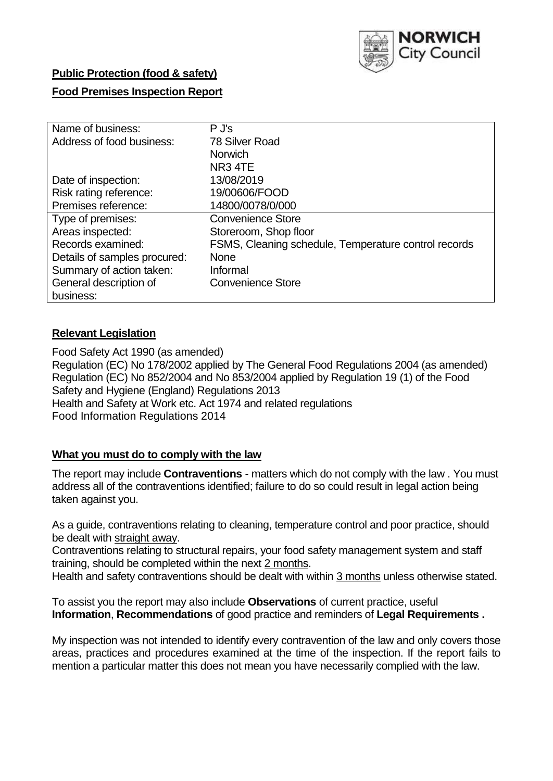

## **Public Protection (food & safety)**

## **Food Premises Inspection Report**

| Name of business:            | $P$ J's                                              |
|------------------------------|------------------------------------------------------|
| Address of food business:    | 78 Silver Road                                       |
|                              | <b>Norwich</b>                                       |
|                              | NR <sub>3</sub> 4TE                                  |
| Date of inspection:          | 13/08/2019                                           |
| Risk rating reference:       | 19/00606/FOOD                                        |
| Premises reference:          | 14800/0078/0/000                                     |
| Type of premises:            | <b>Convenience Store</b>                             |
| Areas inspected:             | Storeroom, Shop floor                                |
| Records examined:            | FSMS, Cleaning schedule, Temperature control records |
| Details of samples procured: | <b>None</b>                                          |
| Summary of action taken:     | Informal                                             |
| General description of       | <b>Convenience Store</b>                             |
| business:                    |                                                      |

## **Relevant Legislation**

Food Safety Act 1990 (as amended) Regulation (EC) No 178/2002 applied by The General Food Regulations 2004 (as amended) Regulation (EC) No 852/2004 and No 853/2004 applied by Regulation 19 (1) of the Food Safety and Hygiene (England) Regulations 2013 Health and Safety at Work etc. Act 1974 and related regulations Food Information Regulations 2014

## **What you must do to comply with the law**

The report may include **Contraventions** - matters which do not comply with the law . You must address all of the contraventions identified; failure to do so could result in legal action being taken against you.

As a guide, contraventions relating to cleaning, temperature control and poor practice, should be dealt with straight away.

Contraventions relating to structural repairs, your food safety management system and staff training, should be completed within the next 2 months.

Health and safety contraventions should be dealt with within 3 months unless otherwise stated.

To assist you the report may also include **Observations** of current practice, useful **Information**, **Recommendations** of good practice and reminders of **Legal Requirements .**

My inspection was not intended to identify every contravention of the law and only covers those areas, practices and procedures examined at the time of the inspection. If the report fails to mention a particular matter this does not mean you have necessarily complied with the law.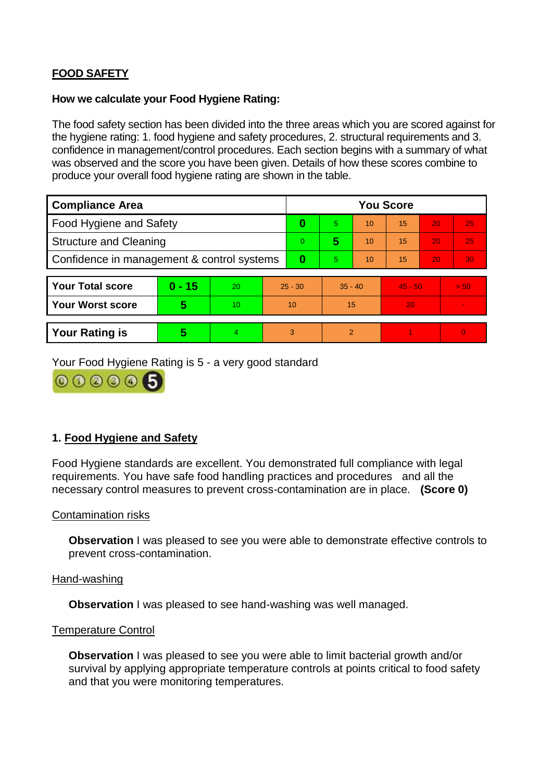# **FOOD SAFETY**

### **How we calculate your Food Hygiene Rating:**

The food safety section has been divided into the three areas which you are scored against for the hygiene rating: 1. food hygiene and safety procedures, 2. structural requirements and 3. confidence in management/control procedures. Each section begins with a summary of what was observed and the score you have been given. Details of how these scores combine to produce your overall food hygiene rating are shown in the table.

| <b>Compliance Area</b>                     |          |    |                | <b>You Score</b> |           |    |           |    |                |  |  |
|--------------------------------------------|----------|----|----------------|------------------|-----------|----|-----------|----|----------------|--|--|
| Food Hygiene and Safety                    |          |    |                | 0                | 5.        | 10 | 15        | 20 | 25             |  |  |
| <b>Structure and Cleaning</b>              |          |    | $\overline{0}$ | 5                | 10        | 15 | 20        | 25 |                |  |  |
| Confidence in management & control systems |          |    | 0              | 5                | 10        | 15 | 20        | 30 |                |  |  |
|                                            |          |    |                |                  |           |    |           |    |                |  |  |
| <b>Your Total score</b>                    | $0 - 15$ | 20 | $25 - 30$      |                  | $35 - 40$ |    | $45 - 50$ |    | > 50           |  |  |
| Your Worst score                           | 5        | 10 | 10             |                  | 15        |    | 20        |    |                |  |  |
|                                            |          |    |                |                  |           |    |           |    |                |  |  |
| <b>Your Rating is</b>                      | 5        | 4. | 3              |                  | 2         |    |           |    | $\overline{0}$ |  |  |

Your Food Hygiene Rating is 5 - a very good standard



## **1. Food Hygiene and Safety**

Food Hygiene standards are excellent. You demonstrated full compliance with legal requirements. You have safe food handling practices and procedures and all the necessary control measures to prevent cross-contamination are in place. **(Score 0)**

#### Contamination risks

**Observation** I was pleased to see you were able to demonstrate effective controls to prevent cross-contamination.

#### Hand-washing

**Observation** I was pleased to see hand-washing was well managed.

#### Temperature Control

**Observation I** was pleased to see you were able to limit bacterial growth and/or survival by applying appropriate temperature controls at points critical to food safety and that you were monitoring temperatures.